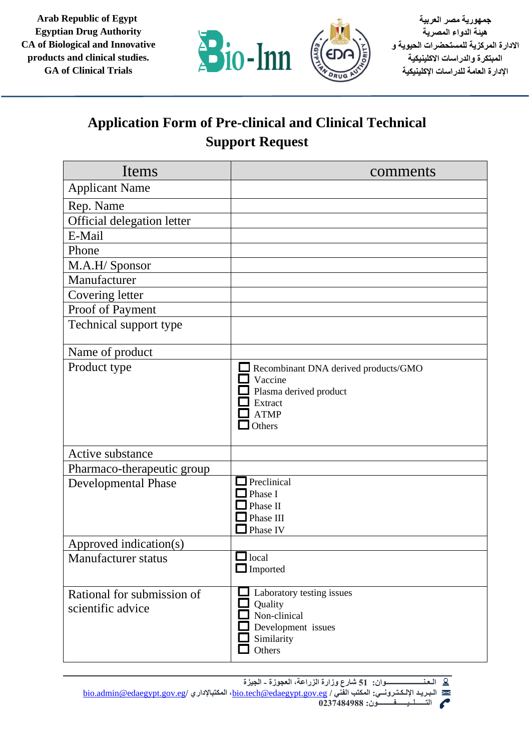**Arab Republic of Egypt Egyptian Drug Authority CA of Biological and Innovative products and clinical studies. GA of Clinical Trials**



**جمهورية مصر العربية هيئة الدواء المصرية االدارة المركزية للمستحضرات الحيوية و المبتكرة والدراسات االكلينيكية اإلدارة العامة للدراسات اإلكلينيكية** 

## **Application Form of Pre-clinical and Clinical Technical Support Request**

| Items                                           | comments                                                                                                      |
|-------------------------------------------------|---------------------------------------------------------------------------------------------------------------|
| <b>Applicant Name</b>                           |                                                                                                               |
| Rep. Name                                       |                                                                                                               |
| Official delegation letter                      |                                                                                                               |
| E-Mail                                          |                                                                                                               |
| Phone                                           |                                                                                                               |
| M.A.H/ Sponsor                                  |                                                                                                               |
| Manufacturer                                    |                                                                                                               |
| Covering letter                                 |                                                                                                               |
| Proof of Payment                                |                                                                                                               |
| Technical support type                          |                                                                                                               |
| Name of product                                 |                                                                                                               |
| Product type                                    | Recombinant DNA derived products/GMO<br>Vaccine<br>Plasma derived product<br>Extract<br><b>ATMP</b><br>Others |
| Active substance                                |                                                                                                               |
| Pharmaco-therapeutic group                      |                                                                                                               |
| <b>Developmental Phase</b>                      | Preclinical<br>Phase I<br>Phase II<br>Phase III<br>Phase IV                                                   |
| Approved indication(s)                          |                                                                                                               |
| <b>Manufacturer</b> status                      | $\Box$ local<br>$\Box$ Imported                                                                               |
| Rational for submission of<br>scientific advice | Laboratory testing issues<br>Quality<br>Non-clinical<br>Development issues<br>Similarity<br>Others            |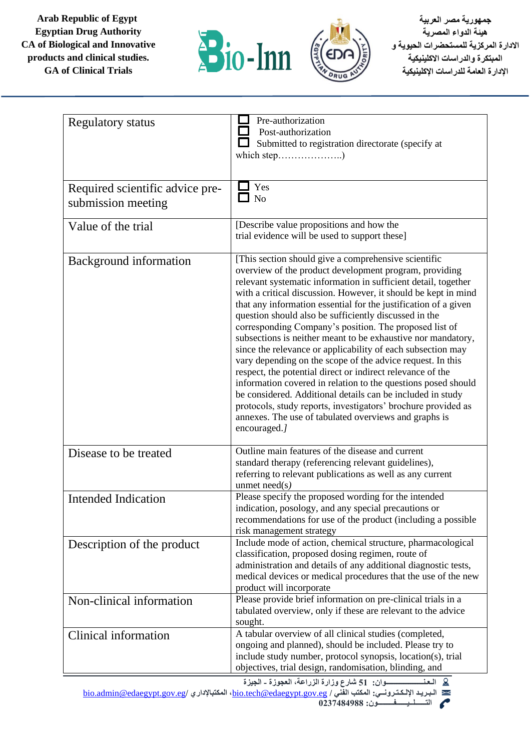**Arab Republic of Egypt Egyptian Drug Authority CA of Biological and Innovative products and clinical studies. GA of Clinical Trials**





**جمهورية مصر العربية هيئة الدواء المصرية االدارة المركزية للمستحضرات الحيوية و المبتكرة والدراسات االكلينيكية اإلدارة العامة للدراسات اإلكلينيكية** 

| <b>Regulatory status</b>                              | Pre-authorization<br>Post-authorization<br>Submitted to registration directorate (specify at                                                                                                                                                                                                                                                                                                                                                                                                                                                                                                                                                                                                                                                                                                                                                                                                                                                                                 |
|-------------------------------------------------------|------------------------------------------------------------------------------------------------------------------------------------------------------------------------------------------------------------------------------------------------------------------------------------------------------------------------------------------------------------------------------------------------------------------------------------------------------------------------------------------------------------------------------------------------------------------------------------------------------------------------------------------------------------------------------------------------------------------------------------------------------------------------------------------------------------------------------------------------------------------------------------------------------------------------------------------------------------------------------|
| Required scientific advice pre-<br>submission meeting | Yes<br>$\Box$ No                                                                                                                                                                                                                                                                                                                                                                                                                                                                                                                                                                                                                                                                                                                                                                                                                                                                                                                                                             |
| Value of the trial                                    | [Describe value propositions and how the<br>trial evidence will be used to support these]                                                                                                                                                                                                                                                                                                                                                                                                                                                                                                                                                                                                                                                                                                                                                                                                                                                                                    |
| <b>Background</b> information                         | [This section should give a comprehensive scientific<br>overview of the product development program, providing<br>relevant systematic information in sufficient detail, together<br>with a critical discussion. However, it should be kept in mind<br>that any information essential for the justification of a given<br>question should also be sufficiently discussed in the<br>corresponding Company's position. The proposed list of<br>subsections is neither meant to be exhaustive nor mandatory,<br>since the relevance or applicability of each subsection may<br>vary depending on the scope of the advice request. In this<br>respect, the potential direct or indirect relevance of the<br>information covered in relation to the questions posed should<br>be considered. Additional details can be included in study<br>protocols, study reports, investigators' brochure provided as<br>annexes. The use of tabulated overviews and graphs is<br>encouraged.] |
| Disease to be treated                                 | Outline main features of the disease and current<br>standard therapy (referencing relevant guidelines),<br>referring to relevant publications as well as any current<br>unmet $need(s)$                                                                                                                                                                                                                                                                                                                                                                                                                                                                                                                                                                                                                                                                                                                                                                                      |
| <b>Intended Indication</b>                            | Please specify the proposed wording for the intended<br>indication, posology, and any special precautions or<br>recommendations for use of the product (including a possible<br>risk management strategy                                                                                                                                                                                                                                                                                                                                                                                                                                                                                                                                                                                                                                                                                                                                                                     |
| Description of the product                            | Include mode of action, chemical structure, pharmacological<br>classification, proposed dosing regimen, route of<br>administration and details of any additional diagnostic tests,<br>medical devices or medical procedures that the use of the new<br>product will incorporate                                                                                                                                                                                                                                                                                                                                                                                                                                                                                                                                                                                                                                                                                              |
| Non-clinical information                              | Please provide brief information on pre-clinical trials in a<br>tabulated overview, only if these are relevant to the advice<br>sought.                                                                                                                                                                                                                                                                                                                                                                                                                                                                                                                                                                                                                                                                                                                                                                                                                                      |
| Clinical information                                  | A tabular overview of all clinical studies (completed,<br>ongoing and planned), should be included. Please try to<br>include study number, protocol synopsis, location(s), trial<br>objectives, trial design, randomisation, blinding, and                                                                                                                                                                                                                                                                                                                                                                                                                                                                                                                                                                                                                                                                                                                                   |

**الـعـنـــــــــــــــــــــوان: 51 شارع وزارة الزراعة، العجوزة - الجيزة**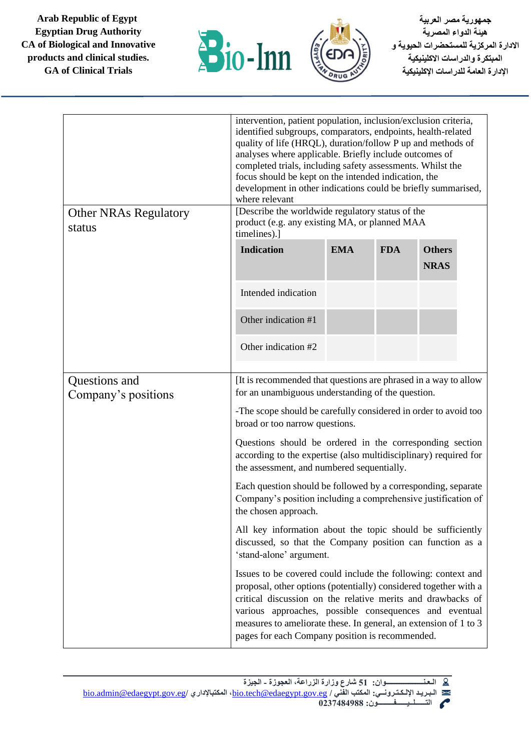**Arab Republic of Egypt Egyptian Drug Authority CA of Biological and Innovative products and clinical studies. GA of Clinical Trials**





| <b>Other NRAs Regulatory</b><br>status | intervention, patient population, inclusion/exclusion criteria,<br>identified subgroups, comparators, endpoints, health-related<br>quality of life (HRQL), duration/follow P up and methods of<br>analyses where applicable. Briefly include outcomes of<br>completed trials, including safety assessments. Whilst the<br>focus should be kept on the intended indication, the<br>development in other indications could be briefly summarised,<br>where relevant<br>[Describe the worldwide regulatory status of the<br>product (e.g. any existing MA, or planned MAA<br>timelines).] |            |            |                              |  |
|----------------------------------------|----------------------------------------------------------------------------------------------------------------------------------------------------------------------------------------------------------------------------------------------------------------------------------------------------------------------------------------------------------------------------------------------------------------------------------------------------------------------------------------------------------------------------------------------------------------------------------------|------------|------------|------------------------------|--|
|                                        | <b>Indication</b>                                                                                                                                                                                                                                                                                                                                                                                                                                                                                                                                                                      | <b>EMA</b> | <b>FDA</b> | <b>Others</b><br><b>NRAS</b> |  |
|                                        | Intended indication                                                                                                                                                                                                                                                                                                                                                                                                                                                                                                                                                                    |            |            |                              |  |
|                                        | Other indication #1                                                                                                                                                                                                                                                                                                                                                                                                                                                                                                                                                                    |            |            |                              |  |
|                                        | Other indication #2                                                                                                                                                                                                                                                                                                                                                                                                                                                                                                                                                                    |            |            |                              |  |
| Questions and<br>Company's positions   | It is recommended that questions are phrased in a way to allow<br>for an unambiguous understanding of the question.                                                                                                                                                                                                                                                                                                                                                                                                                                                                    |            |            |                              |  |
|                                        | -The scope should be carefully considered in order to avoid too<br>broad or too narrow questions.                                                                                                                                                                                                                                                                                                                                                                                                                                                                                      |            |            |                              |  |
|                                        | Questions should be ordered in the corresponding section<br>according to the expertise (also multidisciplinary) required for<br>the assessment, and numbered sequentially.                                                                                                                                                                                                                                                                                                                                                                                                             |            |            |                              |  |
|                                        | Each question should be followed by a corresponding, separate<br>Company's position including a comprehensive justification of<br>the chosen approach.                                                                                                                                                                                                                                                                                                                                                                                                                                 |            |            |                              |  |
|                                        | All key information about the topic should be sufficiently<br>discussed, so that the Company position can function as a<br>'stand-alone' argument.                                                                                                                                                                                                                                                                                                                                                                                                                                     |            |            |                              |  |
|                                        | Issues to be covered could include the following: context and<br>proposal, other options (potentially) considered together with a<br>critical discussion on the relative merits and drawbacks of<br>various approaches, possible consequences and eventual<br>measures to ameliorate these. In general, an extension of 1 to 3<br>pages for each Company position is recommended.                                                                                                                                                                                                      |            |            |                              |  |